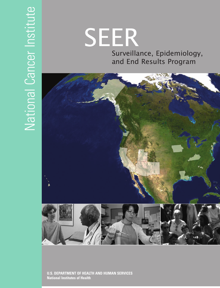# Surveillance, Epidemiology, and End Results Program SEER



**U.S. DEPARTMENT OF HEALTH AND HUMAN SERVICES National Institutes of Health**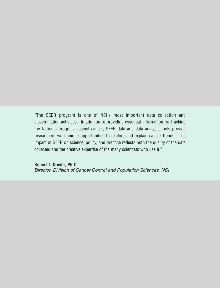"The SEER program is one of NCI's most important data collection and dissemination activities. In addition to providing essential information for tracking the Nation's progress against cancer, SEER data and data analysis tools provide researchers with unique opportunities to explore and explain cancer trends. The impact of SEER on science, policy, and practice reflects both the quality of the data collected and the creative expertise of the many scientists who use it."

**Robert T. Croyle, Ph.D.**  Director, Division of Cancer Control and Population Sciences, NCI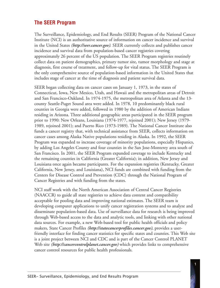# **The SEER Program**

The Surveillance, Epidemiology, and End Results (SEER) Program of the National Cancer Institute (NCI) is an authoritative source of information on cancer incidence and survival in the United States *(http://seer.cancer.gov)*. SEER currently collects and publishes cancer incidence and survival data from population-based cancer registries covering approximately 26 percent of the US population. The SEER Program registries routinely collect data on patient demographics, primary tumor site, tumor morphology and stage at diagnosis, first course of treatment, and follow-up for vital status. The SEER Program is the only comprehensive source of population-based information in the United States that includes stage of cancer at the time of diagnosis and patient survival data.

SEER began collecting data on cancer cases on January 1, 1973, in the states of Connecticut, Iowa, New Mexico, Utah, and Hawaii and the metropolitan areas of Detroit and San Francisco-Oakland. In 1974-1975, the metropolitan area of Atlanta and the 13 county Seattle-Puget Sound area were added. In 1978, 10 predominantly black rural counties in Georgia were added, followed in 1980 by the addition of American Indians residing in Arizona. Three additional geographic areas participated in the SEER program prior to 1990: New Orleans, Louisiana (1974-1977, rejoined 2001); New Jersey (1979- 1989, rejoined 2001); and Puerto Rico (1973-1989). The National Cancer Institute also funds a cancer registry that, with technical assistance from SEER, collects information on cancer cases among Alaska Native populations residing in Alaska. In 1992, the SEER Program was expanded to increase coverage of minority populations, especially Hispanics, by adding Los Angeles County and four counties in the San Jose-Monterey area south of San Francisco. In 2001, the SEER Program expanded coverage to include Kentucky and the remaining counties in California (Greater California); in addition, New Jersey and Louisiana once again became participants. For the expansion registries (Kentucky, Greater California, New Jersey, and Louisiana), NCI funds are combined with funding from the Centers for Disease Control and Prevention (CDC) through the National Program of Cancer Registries and with funding from the states.

NCI staff work with the North American Association of Central Cancer Registries (NAACCR) to guide all state registries to achieve data content and compatibility acceptable for pooling data and improving national estimates. The SEER team is developing computer applications to unify cancer registration systems and to analyze and disseminate population-based data. Use of surveillance data for research is being improved through Web-based access to the data and analytic tools, and linking with other national data sources. For example, a new Web-based tool for public health officials and policy makers, State Cancer Profiles *(http://statecancerprofiles.cancer.gov)*, provides a userfriendly interface for finding cancer statistics for specific states and counties. This Web site is a joint project between NCI and CDC and is part of the Cancer Control PLANET Web site *(http://cancercontrolplanet.cancer.gov)* which provides links to comprehensive cancer control resources for public health professionals.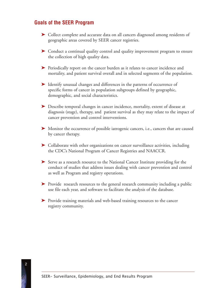#### **Goals of the SEER Program**

- ➤ Collect complete and accurate data on all cancers diagnosed among residents of geographic areas covered by SEER cancer registries.
- ➤ Conduct a continual quality control and quality improvement program to ensure the collection of high quality data.
- ➤ Periodically report on the cancer burden as it relates to cancer incidence and mortality, and patient survival overall and in selected segments of the population.
- ➤ Identify unusual changes and differences in the patterns of occurrence of specific forms of cancer in population subgroups defined by geographic, demographic, and social characteristics.
- ➤ Describe temporal changes in cancer incidence, mortality, extent of disease at diagnosis (stage), therapy, and patient survival as they may relate to the impact of cancer prevention and control interventions.
- ➤ Monitor the occurrence of possible iatrogenic cancers, i.e., cancers that are caused by cancer therapy.
- ➤ Collaborate with other organizations on cancer surveillance activities, including the CDC's National Program of Cancer Registries and NAACCR.
- ➤ Serve as a research resource to the National Cancer Institute providing for the conduct of studies that address issues dealing with cancer prevention and control as well as Program and registry operations.
- ➤ Provide research resources to the general research community including a public use file each year, and software to facilitate the analysis of the database.
- ➤ Provide training materials and web-based training resources to the cancer registry community.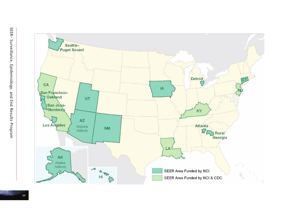

 $\omega$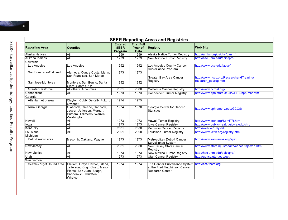

| <b>SEER Reporting Areas and Registries</b> |                                                                                                                                   |                                          |                                             |                                                                                                          |                                                  |  |  |  |
|--------------------------------------------|-----------------------------------------------------------------------------------------------------------------------------------|------------------------------------------|---------------------------------------------|----------------------------------------------------------------------------------------------------------|--------------------------------------------------|--|--|--|
| <b>Reporting Area</b>                      | <b>Counties</b>                                                                                                                   | <b>Entered</b><br><b>SEER</b><br>Program | <b>First Full</b><br>Year of<br><b>Data</b> | Registry                                                                                                 | <b>Web Site</b>                                  |  |  |  |
| Alaska Natives                             | All                                                                                                                               | 1999                                     | 1999                                        | Alaska Native Tumor Registry                                                                             | http://anthc.org/cs/chs/oanhr/                   |  |  |  |
| Arizona Indians                            | All                                                                                                                               | 1973                                     | 1973                                        | New Mexico Tumor Registry                                                                                | http://hsc.unm.edu/epiccpro/                     |  |  |  |
| California:                                |                                                                                                                                   |                                          |                                             |                                                                                                          |                                                  |  |  |  |
| Los Angeles                                | Los Angeles                                                                                                                       | 1992                                     | 1992                                        | Los Angeles County Cancer<br>Surveillance Program                                                        | http://www.usc.edu/lacsp/                        |  |  |  |
| San Francisco-Oakland                      | Alameda, Contra Costa, Marin,<br>San Francisco, San Mateo                                                                         | 1973                                     | 1973                                        | Greater Bay Area Cancer<br>Registry                                                                      | http://www.nccc.org/ResearchandTraining/         |  |  |  |
| San Jose-Monterey                          | Monterey, San Benito, Santa<br>Clara, Santa Cruz                                                                                  | 1992                                     | 1992                                        |                                                                                                          | research_gbareg.html                             |  |  |  |
| Greater California                         | All other CA counties                                                                                                             | 2001                                     | 2000                                        | California Cancer Registry                                                                               | http://www.ccrcal.org/                           |  |  |  |
| Connecticut                                | All                                                                                                                               | 1973                                     | 1973                                        | <b>Connecticut Tumor Registry</b>                                                                        | http://www.dph.state.ct.us/OPPE/hptumor.htm      |  |  |  |
| Georgia:                                   |                                                                                                                                   |                                          |                                             |                                                                                                          |                                                  |  |  |  |
| Atlanta metro area                         | Clayton, Cobb, DeKalb, Fulton,<br>Gwinnet                                                                                         | 1974                                     | 1975                                        |                                                                                                          |                                                  |  |  |  |
| Rural Georgia                              | Glascock, Greene, Hancock,<br>Jasper, Jefferson, Morgan,<br>Putnam, Taliaferro, Warren,<br>Washington                             | 1974                                     | 1978                                        | Georgia Center for Cancer<br><b>Statistics</b>                                                           | http://www.sph.emory.edu/GCCS/                   |  |  |  |
| Hawaii                                     | All                                                                                                                               | 1973                                     | 1973                                        | Hawaii Tumor Registry                                                                                    | http://www.crch.org/SerHTR.htm                   |  |  |  |
| lowa                                       | All                                                                                                                               | 1973                                     | 1973                                        | <b>lowa Cancer Registry</b>                                                                              | http://www.public-health.uiowa.edu/shri/         |  |  |  |
| Kentucky                                   | All                                                                                                                               | 2001                                     | 2000                                        | Kentucky Cancer Registry                                                                                 | http://web.kcr.uky.edu/                          |  |  |  |
| Louisiana                                  | All                                                                                                                               | 2001                                     | 2000                                        | Louisiana Tumor Registry                                                                                 | http://www.lcltfb.org/registry.html              |  |  |  |
| Michigan:                                  |                                                                                                                                   |                                          |                                             |                                                                                                          |                                                  |  |  |  |
| Detroit metro area                         | Macomb, Oakland, Wayne                                                                                                            | 1973                                     | 1973                                        | Metropolitan Detroit Cancer<br>Surveillance System                                                       | http://www.karmanos.org/epid/                    |  |  |  |
| New Jersey                                 | All                                                                                                                               | 2001                                     | 2000                                        | New Jersey State Cancer<br>Registry                                                                      | http://www.state.nj.us/health/cancer/njscr1b.htm |  |  |  |
| New Mexico                                 | All                                                                                                                               | 1973                                     | 1973                                        | New Mexico Tumor Registry                                                                                | http://hsc.unm.edu/epiccpro/                     |  |  |  |
| Utah                                       | All                                                                                                                               | 1973                                     | 1973                                        | <b>Utah Cancer Registry</b>                                                                              | http://uuhsc.utah.edu/ucr/                       |  |  |  |
| Washington:                                |                                                                                                                                   |                                          |                                             |                                                                                                          |                                                  |  |  |  |
| Seattle-Puget Sound area                   | Clallam, Grays Harbor, Island,<br>Jefferson, King, Kitsap, Mason,<br>Pierce, San Juan, Skagit,<br>Snohomish, Thurston,<br>Whatcom | 1974                                     | 1974                                        | The Cancer Surveillance System http://css.fhcrc.org/<br>at the Fred Hutchinson Cancer<br>Research Center |                                                  |  |  |  |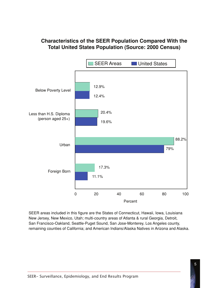# **Characteristics of the SEER Population Compared With the Total United States Population (Source: 2000 Census)**

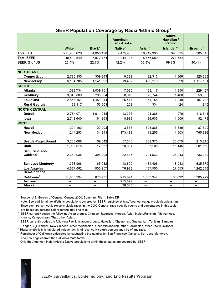#### **SEER Population Coverage by Racial/Ethnic Group1**

|                            |             |                    | American<br>Indian / Alaska |                | <b>Native</b><br>Hawaiian /<br><b>Pacific</b> |                          |
|----------------------------|-------------|--------------------|-----------------------------|----------------|-----------------------------------------------|--------------------------|
|                            | White $^2$  | Black <sup>2</sup> | Native <sup>2</sup>         | Asian $^{2,3}$ | Islander <sup>2,4</sup>                       | Hispanic <sup>5</sup>    |
| Total U.S.                 | 211,460,626 | 34,658,190         | 2,475,956                   | 10,242,998     | 398,835                                       | 35,305,818               |
| <b>Total SEER</b>          | 49,492,549  | 7,872,174          | 1,044,137                   | 5,455,680      | 278,584                                       | 14,271,987               |
| <b>SEER % of US</b>        | 23.4%       | 22.7%              | 42.2%                       | 53.3%          | 69.8%                                         | 40.4%                    |
|                            |             |                    |                             |                |                                               |                          |
| <b>NORTHEAST</b>           |             |                    |                             |                |                                               |                          |
| <b>Connecticut</b>         | 2,780,355   | 309,843            | 9,639                       | 82,313         | 1,366                                         | 320,323                  |
| <b>New Jersey</b>          | 6,104,705   | 1,141,821          | 19,492                      | 480,276        | 3,329                                         | 1, 117, 191              |
| <b>SOUTH</b>               |             |                    |                             |                |                                               |                          |
| Atlanta                    | 1,588,734   | 1,039,151          | 7,030                       | 123,117        | 1,350                                         | 229,427                  |
| Kentucky                   | 3,640,889   | 295,994            | 8,616                       | 29,744         | 1,460                                         | 59,939                   |
| Louisiana                  | 2,856,161   | 1,451,944          | 25,477                      | 54,758         | 1,240                                         | 107,738                  |
| <b>Rural Georgia</b>       | 63,917      | 53,603             | 209                         | 334            | 24                                            | 1,840                    |
| <b>NORTH CENTRAL</b>       |             |                    |                             |                |                                               |                          |
| <b>Detroit</b>             | 2,784,071   | 1,011,038          | 13,375                      | 101,386        | 979                                           | 118,641                  |
| lowa                       | 2,748,640   | 61,853             | 8,989                       | 36,635         | 1,009                                         | 82,473                   |
| <b>WEST</b>                |             |                    |                             |                |                                               |                          |
| Hawaii                     | 294,102     | 22,003             | 3,535                       | 503,868        | 113,539                                       | 87,699                   |
| <b>New Mexico</b>          | 1,214,253   | 34,343             | 173,483                     | 19,255         | 1,503                                         | 765,386                  |
|                            |             |                    |                             |                |                                               |                          |
| <b>Seattle-Puget Sound</b> | 3,253,688   | 169,042            | 57,340                      | 289,373        | 20,679                                        | 213,215                  |
| Utah                       | 1,992,975   | 17,657             | 29,684                      | 37,108         | 15, 145                                       | 201,559                  |
| San Francisco-<br>Oakland  | 2,340,035   | 396,908            | 22,635                      | 791,663        | 26,243                                        | 733,249                  |
| San Jose-Monterey          | 1,356,968   | 65,282             | 18,629                      | 464,406        | 8,043                                         | 685,372                  |
| <b>Los Angeles</b>         | 4,637,062   | 930,957            | 76,988                      | 1,137,500      | 27,053                                        | 4,242,213                |
| <b>Remainder of</b>        |             |                    |                             |                |                                               |                          |
| California <sup>6</sup>    | 11,835,994  | 870,735            | 215,094                     | 1,303,944      | 55,622                                        | 5,305,722                |
| Arizona <sup>7</sup>       | --          | --                 | 255,879                     | --             | --                                            | $\qquad \qquad -$        |
| Alaska <sup>7</sup>        | ∽-          | ш.                 | 98,043                      | $\overline{a}$ | --                                            | $\overline{\phantom{a}}$ |

**<sup>1</sup>** Source: U.S. Bureau of Census, Census 2000, Summary File 1, Table DP-1.

Note: See additional racial/ethnic populations covered by SEER registries at http://seer.cancer.gov/registries/data.html <sup>2</sup> Since each person could report multiple races in the 2000 Census, race-specific counts and percentages in this table

- are based on persons self-reporting only one race. **<sup>3</sup>** SEER currently codes the following Asian groups: Chinese, Japanese, Korean, Asian Indian/Pakistani, Vietnamese,
- Hmong, Kampuchean, Thai, other Asian. **<sup>4</sup>** SEER currently codes the following Pacific Islander groups: Hawaiian, Chamorran, Guamanian, Tahitian, Samoan,
- Tongan, Fiji Islander, New Guinean, other Melanesian, other Micronesian, other Polynesian, other Pacific Islander.
- **<sup>5</sup>** Hispanic ethnicity is tabulated independently of race, so Hispanic persons may be of any race.
- **<sup>6</sup>** Remainder of California calculated by subtracting the number for San Francisco-Oakland, San Jose-Monterey, and Los Angeles from the California state totals.
- **<sup>7</sup>** Only the American Indian/Alaska Native populations within these states are covered by SEER.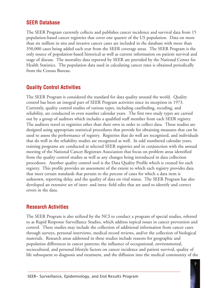# **SEER Database**

The SEER Program currently collects and publishes cancer incidence and survival data from 15 population-based cancer registries that cover one quarter of the US population. Data on more than six million in situ and invasive cancer cases are included in the database with more than 350,000 cases being added each year from the SEER coverage areas. The SEER Program is the only source of population-based historical as well as current information on patient survival and stage of disease. The mortality data reported by SEER are provided by the National Center for Health Statistics. The population data used in calculating cancer rates is obtained periodically from the Census Bureau.

### **Quality Control Activities**

The SEER Program is considered the standard for data quality around the world. Quality control has been an integral part of SEER Program activities since its inception in 1973. Currently, quality control studies of various types, including casefinding, recoding, and reliability, are conducted in even number calendar years. The first two study types are carried out by a group of auditors which includes a qualified staff member from each SEER registry. The auditors travel to registries other than their own in order to collect data. These studies are designed using appropriate statistical procedures that provide for obtaining measures that can be used to assess the performance of registry. Registries that do well are recognized, and individuals that do well in the reliability studies are recognized as well. In odd numbered calendar years, training programs are conducted at selected SEER registries and in conjunction with the annual meeting of the National Cancer Registrars Association that focus on problem areas identified from the quality control studies as well as any changes being introduced in data collection procedures. Another quality control tool is the Data Quality Profile which is created for each registry. This profile provides an assessment of the extent to which each registry provides data that meet certain standards that pertain to the percent of cases for which a data item is unknown, reporting delay, and the quality of data on vital status. The SEER Program has also developed an extensive set of inter- and intra- field edits that are used to identify and correct errors in the data.

#### **Research Activities**

The SEER Program is also utilized by the NCI to conduct a program of special studies, referred to as Rapid Response Surveillance Studies, which address topical issues in cancer prevention and control. These studies may include the collection of additional information from cancer cases through surveys, personal interviews, medical record reviews, and/or the collection of biological materials. Research areas addressed in these studies include reasons for geographic and population differences in cancer patterns; the influence of occupational, environmental, sociocultural, and personal lifestyle factors on cancer incidence and patient survival, quality of life subsequent to diagnosis and treatment, and the diffusion into the medical community of the

7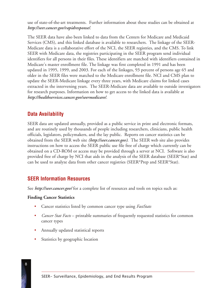use of state-of-the-art treatments. Further information about these studies can be obtained at *http://seer.cancer.gov/rapidresponse/*.

The SEER data have also been linked to data from the Centers for Medicare and Medicaid Services (CMS), and this linked database is available to researchers. The linkage of the SEER-Medicare data is a collaborative effort of the NCI, the SEER registries, and the CMS. To link SEER with Medicare data, the registries participating in the SEER program send individual identifiers for all persons in their files. These identifiers are matched with identifiers contained in Medicare's master enrollment file. The linkage was first completed in 1991 and has been updated in 1995, 1999, and 2003. For each of the linkages, 93 percent of persons age 65 and older in the SEER files were matched to the Medicare enrollment file. NCI and CMS plan to update the SEER-Medicare linkage every three years, with Medicare claims for linked cases extracted in the intervening years. The SEER-Medicare data are available to outside investigators for research purposes. Information on how to get access to the linked data is available at *http://healthservices.cancer.gov/seermedicare/*.

# **Data Availability**

SEER data are updated annually, provided as a public service in print and electronic formats, and are routinely used by thousands of people including researchers, clinicians, public health officials, legislators, policymakers, and the lay public. Reports on cancer statistics can be obtained from the SEER web site *(http://seer.cancer.gov)*. The SEER web site also provides instructions on how to access the SEER public use file free of charge which currently can be obtained on a CD-ROM or access may be provided through a server at NCI. Software is also provided free of charge by NCI that aids in the analysis of the SEER database (SEER\*Stat) and can be used to analyze data from other cancer registries (SEER\*Prep and SEER\*Stat).

### **SEER Information Resources**

See *http://seer.cancer.gov/* for a complete list of resources and tools on topics such as:

#### **Finding Cancer Statistics**

- Cancer statistics listed by common cancer type using *FastStats*
- *Cancer Stat Facts* printable summaries of frequently requested statistics for common cancer types
- Annually updated statistical reports
- Statistics by geographic location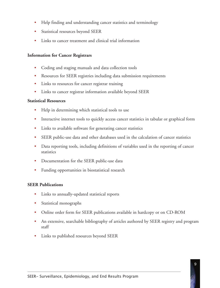- Help finding and understanding cancer statistics and terminology
- Statistical resources beyond SEER
- Links to cancer treatment and clinical trial information

#### **Information for Cancer Registrars**

- Coding and staging manuals and data collection tools
- Resources for SEER registries including data submission requirements
- Links to resources for cancer registrar training
- Links to cancer registrar information available beyond SEER

#### **Statistical Resources**

- Help in determining which statistical tools to use
- Interactive internet tools to quickly access cancer statistics in tabular or graphical form
- Links to available software for generating cancer statistics
- SEER public-use data and other databases used in the calculation of cancer statistics
- Data reporting tools, including definitions of variables used in the reporting of cancer statistics
- Documentation for the SEER public-use data
- Funding opportunities in biostatistical research

#### **SEER Publications**

- Links to annually-updated statistical reports
- Statistical monographs
- Online order form for SEER publications available in hardcopy or on CD-ROM
- An extensive, searchable bibliography of articles authored by SEER registry and program staff
- Links to published resources beyond SEER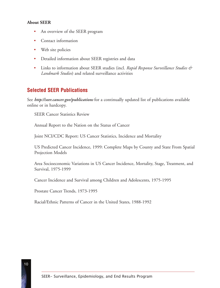#### **About SEER**

- An overview of the SEER program
- Contact information •
- Web site policies •
- Detailed information about SEER registries and data •
- Links to information about SEER studies (incl. *Rapid Response Surveillance Studies & Landmark Studies*) and related surveillance activities •

### **Selected SEER Publications**

See *http://seer.cancer.gov/publications* for a continually updated list of publications available online or in hardcopy.

SEER Cancer Statistics Review

Annual Report to the Nation on the Status of Cancer

Joint NCI/CDC Report: US Cancer Statistics, Incidence and Mortality

US Predicted Cancer Incidence, 1999: Complete Maps by County and State From Spatial Projection Models

Area Socioeconomic Variations in US Cancer Incidence, Mortality, Stage, Treatment, and Survival, 1975-1999

Cancer Incidence and Survival among Children and Adolescents, 1975-1995

Prostate Cancer Trends, 1973-1995

Racial/Ethnic Patterns of Cancer in the United States, 1988-1992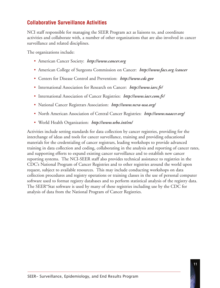# **Collaborative Surveillance Activities**

NCI staff responsible for managing the SEER Program act as liaisons to, and coordinate activities and collaborate with, a number of other organizations that are also involved in cancer surveillance and related disciplines.

The organizations include:

- American Cancer Society: *http://www.cancer.org*
- American College of Surgeons Commission on Cancer: *http://www.facs.org /cancer*
- Centers for Disease Control and Prevention: *http://www.cdc.gov*
- International Association for Research on Cancer: *http://www.iarc.fr/*
- International Association of Cancer Registries: *http://www.iacr.com.fr/*
- National Cancer Registrars Association: *http://www.ncra-usa.org/*
- North American Association of Central Cancer Registries: *http://www.naaccr.org/*
- World Health Organization: *http://www.who.int/en/*

Activities include setting standards for data collection by cancer registries, providing for the interchange of ideas and tools for cancer surveillance, training and providing educational materials for the credentialing of cancer registrars, leading workshops to provide advanced training in data collection and coding, collaborating in the analysis and reporting of cancer rates, and supporting efforts to expand existing cancer surveillance and to establish new cancer reporting systems. The NCI-SEER staff also provides technical assistance to registries in the CDC's National Program of Cancer Registries and to other registries around the world upon request, subject to available resources. This may include conducting workshops on data collection procedures and registry operations or training classes in the use of personal computer software used to format registry databases and to perform statistical analysis of the registry data. The SEER\*Stat software is used by many of these registries including use by the CDC for analysis of data from the National Program of Cancer Registries.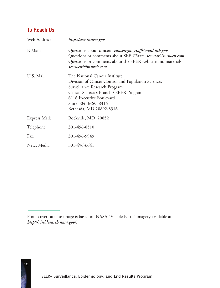# **To Reach Us**

12

| Web Address:  | http://seer.cancer.gov                                                                                                                                                                                                                        |
|---------------|-----------------------------------------------------------------------------------------------------------------------------------------------------------------------------------------------------------------------------------------------|
| E-Mail:       | Questions about cancer: <i>cancer.gov_staff@mail.nih.gov</i><br>Questions or comments about SEER*Stat: seerstat@imsweb.com<br>Questions or comments about the SEER web site and materials:<br>seerweb@imsweb.com                              |
| U.S. Mail:    | The National Cancer Institute<br>Division of Cancer Control and Population Sciences<br>Surveillance Research Program<br>Cancer Statistics Branch / SEER Program<br>6116 Executive Boulevard<br>Suite 504, MSC 8316<br>Bethesda, MD 20892-8316 |
| Express Mail: | Rockville, MD 20852                                                                                                                                                                                                                           |
| Telephone:    | 301-496-8510                                                                                                                                                                                                                                  |
| Fax:          | 301-496-9949                                                                                                                                                                                                                                  |
| News Media:   | 301-496-6641                                                                                                                                                                                                                                  |

Front cover satellite image is based on NASA "Visible Earth" imagery available at *http://visibleearth.nasa.gov/.*